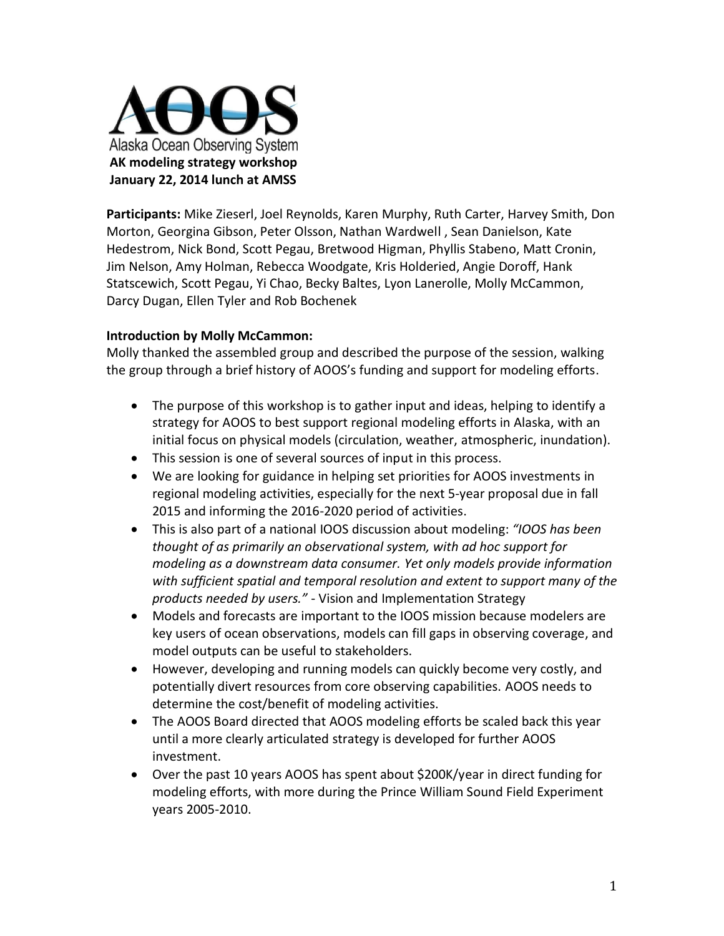

**Participants:** Mike Zieserl, Joel Reynolds, Karen Murphy, Ruth Carter, Harvey Smith, Don Morton, Georgina Gibson, Peter Olsson, Nathan Wardwell , Sean Danielson, Kate Hedestrom, Nick Bond, Scott Pegau, Bretwood Higman, Phyllis Stabeno, Matt Cronin, Jim Nelson, Amy Holman, Rebecca Woodgate, Kris Holderied, Angie Doroff, Hank Statscewich, Scott Pegau, Yi Chao, Becky Baltes, Lyon Lanerolle, Molly McCammon, Darcy Dugan, Ellen Tyler and Rob Bochenek

#### **Introduction by Molly McCammon:**

Molly thanked the assembled group and described the purpose of the session, walking the group through a brief history of AOOS's funding and support for modeling efforts.

- The purpose of this workshop is to gather input and ideas, helping to identify a strategy for AOOS to best support regional modeling efforts in Alaska, with an initial focus on physical models (circulation, weather, atmospheric, inundation).
- This session is one of several sources of input in this process.
- We are looking for guidance in helping set priorities for AOOS investments in regional modeling activities, especially for the next 5-year proposal due in fall 2015 and informing the 2016-2020 period of activities.
- This is also part of a national IOOS discussion about modeling: *"IOOS has been thought of as primarily an observational system, with ad hoc support for modeling as a downstream data consumer. Yet only models provide information with sufficient spatial and temporal resolution and extent to support many of the products needed by users."* - Vision and Implementation Strategy
- Models and forecasts are important to the IOOS mission because modelers are key users of ocean observations, models can fill gaps in observing coverage, and model outputs can be useful to stakeholders.
- However, developing and running models can quickly become very costly, and potentially divert resources from core observing capabilities. AOOS needs to determine the cost/benefit of modeling activities.
- The AOOS Board directed that AOOS modeling efforts be scaled back this year until a more clearly articulated strategy is developed for further AOOS investment.
- Over the past 10 years AOOS has spent about \$200K/year in direct funding for modeling efforts, with more during the Prince William Sound Field Experiment years 2005-2010.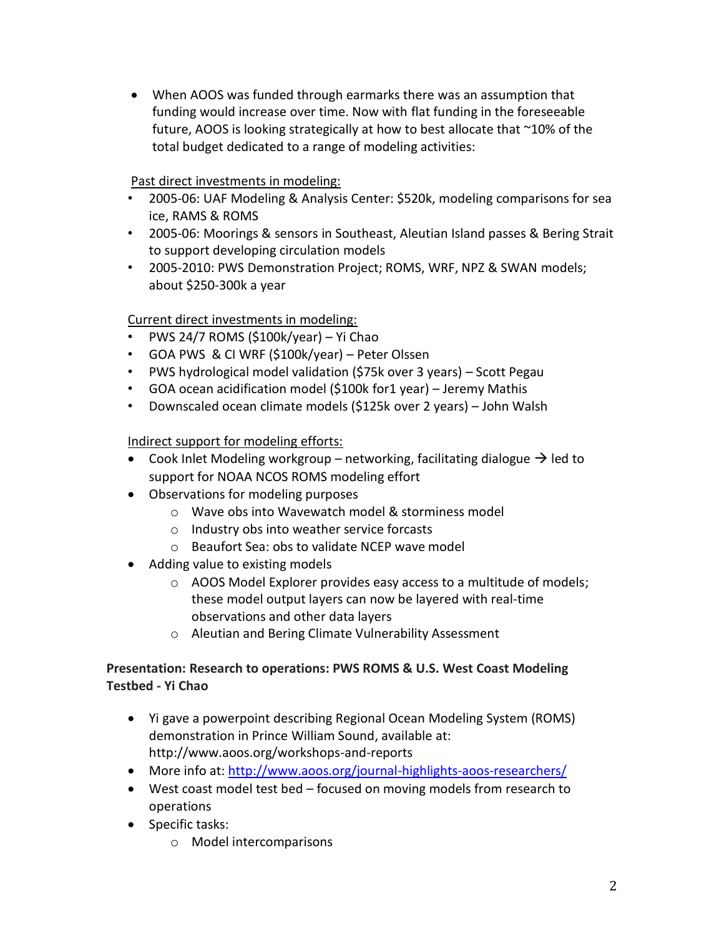When AOOS was funded through earmarks there was an assumption that funding would increase over time. Now with flat funding in the foreseeable future, AOOS is looking strategically at how to best allocate that ~10% of the total budget dedicated to a range of modeling activities:

### Past direct investments in modeling:

- 2005-06: UAF Modeling & Analysis Center: \$520k, modeling comparisons for sea ice, RAMS & ROMS
- 2005-06: Moorings & sensors in Southeast, Aleutian Island passes & Bering Strait to support developing circulation models
- 2005-2010: PWS Demonstration Project; ROMS, WRF, NPZ & SWAN models; about \$250-300k a year

# Current direct investments in modeling:

- PWS 24/7 ROMS (\$100k/year) Yi Chao
- GOA PWS & CI WRF (\$100k/year) Peter Olssen
- PWS hydrological model validation (\$75k over 3 years) Scott Pegau
- GOA ocean acidification model (\$100k for1 year) Jeremy Mathis
- Downscaled ocean climate models (\$125k over 2 years) John Walsh

### Indirect support for modeling efforts:

- Cook Inlet Modeling workgroup networking, facilitating dialogue  $\rightarrow$  led to support for NOAA NCOS ROMS modeling effort
- Observations for modeling purposes
	- o Wave obs into Wavewatch model & storminess model
	- o Industry obs into weather service forcasts
	- o Beaufort Sea: obs to validate NCEP wave model
- Adding value to existing models
	- o AOOS Model Explorer provides easy access to a multitude of models; these model output layers can now be layered with real-time observations and other data layers
	- o Aleutian and Bering Climate Vulnerability Assessment

# **Presentation: Research to operations: PWS ROMS & U.S. West Coast Modeling Testbed - Yi Chao**

- Yi gave a powerpoint describing Regional Ocean Modeling System (ROMS) demonstration in Prince William Sound, available at: http://www.aoos.org/workshops-and-reports
- More info at:<http://www.aoos.org/journal-highlights-aoos-researchers/>
- West coast model test bed focused on moving models from research to operations
- Specific tasks:
	- o Model intercomparisons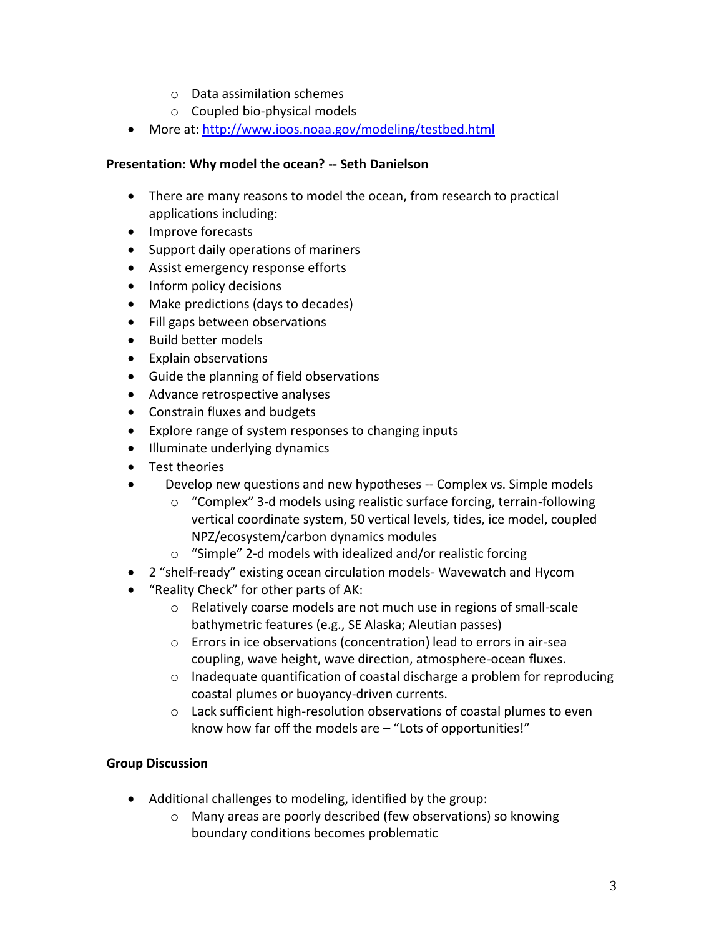- o Data assimilation schemes
- o Coupled bio-physical models
- More at:<http://www.ioos.noaa.gov/modeling/testbed.html>

#### **Presentation: Why model the ocean? -- Seth Danielson**

- There are many reasons to model the ocean, from research to practical applications including:
- Improve forecasts
- Support daily operations of mariners
- Assist emergency response efforts
- Inform policy decisions
- Make predictions (days to decades)
- Fill gaps between observations
- Build better models
- Explain observations
- Guide the planning of field observations
- Advance retrospective analyses
- Constrain fluxes and budgets
- Explore range of system responses to changing inputs
- Illuminate underlying dynamics
- Test theories
- Develop new questions and new hypotheses -- Complex vs. Simple models
	- o "Complex" 3-d models using realistic surface forcing, terrain-following vertical coordinate system, 50 vertical levels, tides, ice model, coupled NPZ/ecosystem/carbon dynamics modules
	- o "Simple" 2-d models with idealized and/or realistic forcing
- 2 "shelf-ready" existing ocean circulation models- Wavewatch and Hycom
- "Reality Check" for other parts of AK:
	- o Relatively coarse models are not much use in regions of small-scale bathymetric features (e.g., SE Alaska; Aleutian passes)
	- o Errors in ice observations (concentration) lead to errors in air-sea coupling, wave height, wave direction, atmosphere-ocean fluxes.
	- o Inadequate quantification of coastal discharge a problem for reproducing coastal plumes or buoyancy-driven currents.
	- o Lack sufficient high-resolution observations of coastal plumes to even know how far off the models are – "Lots of opportunities!"

### **Group Discussion**

- Additional challenges to modeling, identified by the group:
	- o Many areas are poorly described (few observations) so knowing boundary conditions becomes problematic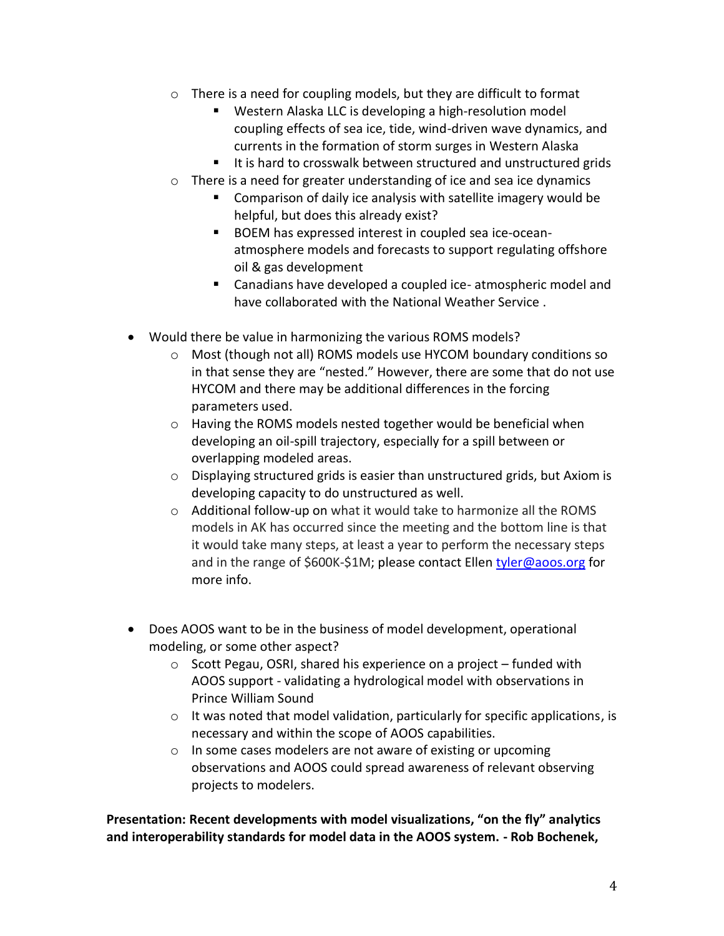- o There is a need for coupling models, but they are difficult to format
	- Western Alaska LLC is developing a high-resolution model coupling effects of sea ice, tide, wind-driven wave dynamics, and currents in the formation of storm surges in Western Alaska
	- It is hard to crosswalk between structured and unstructured grids
- $\circ$  There is a need for greater understanding of ice and sea ice dynamics
	- **Comparison of daily ice analysis with satellite imagery would be** helpful, but does this already exist?
	- **BOEM** has expressed interest in coupled sea ice-oceanatmosphere models and forecasts to support regulating offshore oil & gas development
	- Canadians have developed a coupled ice- atmospheric model and have collaborated with the National Weather Service .
- Would there be value in harmonizing the various ROMS models?
	- o Most (though not all) ROMS models use HYCOM boundary conditions so in that sense they are "nested." However, there are some that do not use HYCOM and there may be additional differences in the forcing parameters used.
	- o Having the ROMS models nested together would be beneficial when developing an oil-spill trajectory, especially for a spill between or overlapping modeled areas.
	- o Displaying structured grids is easier than unstructured grids, but Axiom is developing capacity to do unstructured as well.
	- o Additional follow-up on what it would take to harmonize all the ROMS models in AK has occurred since the meeting and the bottom line is that it would take many steps, at least a year to perform the necessary steps and in the range of \$600K-\$1M; please contact Ellen [tyler@aoos.org](mailto:tyler@aoos.org) for more info.
- Does AOOS want to be in the business of model development, operational modeling, or some other aspect?
	- o Scott Pegau, OSRI, shared his experience on a project funded with AOOS support - validating a hydrological model with observations in Prince William Sound
	- $\circ$  It was noted that model validation, particularly for specific applications, is necessary and within the scope of AOOS capabilities.
	- o In some cases modelers are not aware of existing or upcoming observations and AOOS could spread awareness of relevant observing projects to modelers.

**Presentation: Recent developments with model visualizations, "on the fly" analytics and interoperability standards for model data in the AOOS system. - Rob Bochenek,**